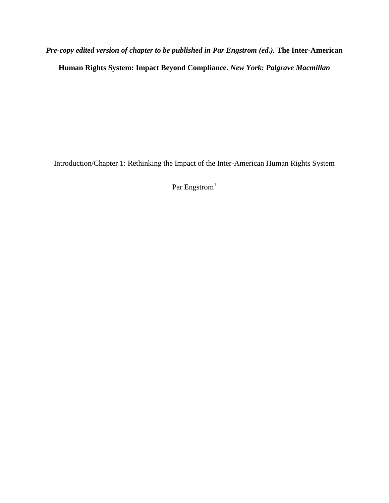*Pre-copy edited version of chapter to be published in Par Engstrom (ed.).* **The Inter-American Human Rights System: Impact Beyond Compliance.** *New York: Palgrave Macmillan*

Introduction/Chapter 1: Rethinking the Impact of the Inter-American Human Rights System

Par $\rm{Engstrom}^1$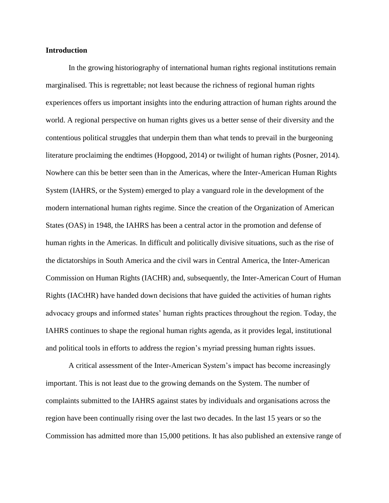# **Introduction**

In the growing historiography of international human rights regional institutions remain marginalised. This is regrettable; not least because the richness of regional human rights experiences offers us important insights into the enduring attraction of human rights around the world. A regional perspective on human rights gives us a better sense of their diversity and the contentious political struggles that underpin them than what tends to prevail in the burgeoning literature proclaiming the endtimes (Hopgood, 2014) or twilight of human rights (Posner, 2014). Nowhere can this be better seen than in the Americas, where the Inter-American Human Rights System (IAHRS, or the System) emerged to play a vanguard role in the development of the modern international human rights regime. Since the creation of the Organization of American States (OAS) in 1948, the IAHRS has been a central actor in the promotion and defense of human rights in the Americas. In difficult and politically divisive situations, such as the rise of the dictatorships in South America and the civil wars in Central America, the Inter-American Commission on Human Rights (IACHR) and, subsequently, the Inter-American Court of Human Rights (IACtHR) have handed down decisions that have guided the activities of human rights advocacy groups and informed states' human rights practices throughout the region. Today, the IAHRS continues to shape the regional human rights agenda, as it provides legal, institutional and political tools in efforts to address the region's myriad pressing human rights issues.

A critical assessment of the Inter-American System's impact has become increasingly important. This is not least due to the growing demands on the System. The number of complaints submitted to the IAHRS against states by individuals and organisations across the region have been continually rising over the last two decades. In the last 15 years or so the Commission has admitted more than 15,000 petitions. It has also published an extensive range of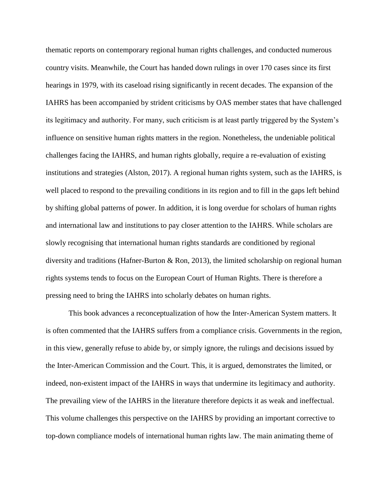thematic reports on contemporary regional human rights challenges, and conducted numerous country visits. Meanwhile, the Court has handed down rulings in over 170 cases since its first hearings in 1979, with its caseload rising significantly in recent decades. The expansion of the IAHRS has been accompanied by strident criticisms by OAS member states that have challenged its legitimacy and authority. For many, such criticism is at least partly triggered by the System's influence on sensitive human rights matters in the region. Nonetheless, the undeniable political challenges facing the IAHRS, and human rights globally, require a re-evaluation of existing institutions and strategies (Alston, 2017). A regional human rights system, such as the IAHRS, is well placed to respond to the prevailing conditions in its region and to fill in the gaps left behind by shifting global patterns of power. In addition, it is long overdue for scholars of human rights and international law and institutions to pay closer attention to the IAHRS. While scholars are slowly recognising that international human rights standards are conditioned by regional diversity and traditions (Hafner-Burton & Ron, 2013), the limited scholarship on regional human rights systems tends to focus on the European Court of Human Rights. There is therefore a pressing need to bring the IAHRS into scholarly debates on human rights.

This book advances a reconceptualization of how the Inter-American System matters. It is often commented that the IAHRS suffers from a compliance crisis. Governments in the region, in this view, generally refuse to abide by, or simply ignore, the rulings and decisions issued by the Inter-American Commission and the Court. This, it is argued, demonstrates the limited, or indeed, non-existent impact of the IAHRS in ways that undermine its legitimacy and authority. The prevailing view of the IAHRS in the literature therefore depicts it as weak and ineffectual. This volume challenges this perspective on the IAHRS by providing an important corrective to top-down compliance models of international human rights law. The main animating theme of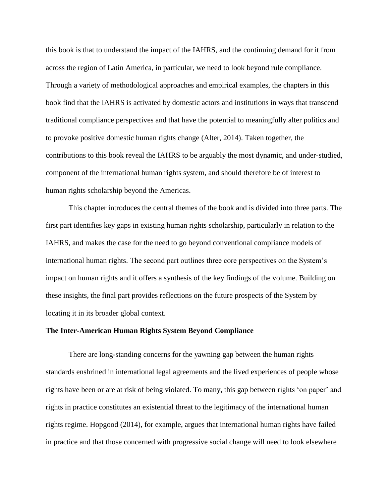this book is that to understand the impact of the IAHRS, and the continuing demand for it from across the region of Latin America, in particular, we need to look beyond rule compliance. Through a variety of methodological approaches and empirical examples, the chapters in this book find that the IAHRS is activated by domestic actors and institutions in ways that transcend traditional compliance perspectives and that have the potential to meaningfully alter politics and to provoke positive domestic human rights change (Alter, 2014). Taken together, the contributions to this book reveal the IAHRS to be arguably the most dynamic, and under-studied, component of the international human rights system, and should therefore be of interest to human rights scholarship beyond the Americas.

This chapter introduces the central themes of the book and is divided into three parts. The first part identifies key gaps in existing human rights scholarship, particularly in relation to the IAHRS, and makes the case for the need to go beyond conventional compliance models of international human rights. The second part outlines three core perspectives on the System's impact on human rights and it offers a synthesis of the key findings of the volume. Building on these insights, the final part provides reflections on the future prospects of the System by locating it in its broader global context.

## **The Inter-American Human Rights System Beyond Compliance**

There are long-standing concerns for the yawning gap between the human rights standards enshrined in international legal agreements and the lived experiences of people whose rights have been or are at risk of being violated. To many, this gap between rights 'on paper' and rights in practice constitutes an existential threat to the legitimacy of the international human rights regime. Hopgood (2014), for example, argues that international human rights have failed in practice and that those concerned with progressive social change will need to look elsewhere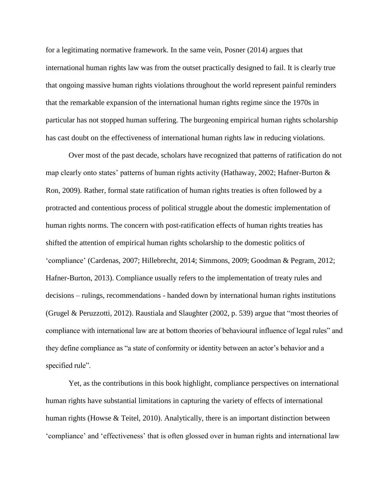for a legitimating normative framework. In the same vein, Posner (2014) argues that international human rights law was from the outset practically designed to fail. It is clearly true that ongoing massive human rights violations throughout the world represent painful reminders that the remarkable expansion of the international human rights regime since the 1970s in particular has not stopped human suffering. The burgeoning empirical human rights scholarship has cast doubt on the effectiveness of international human rights law in reducing violations.

Over most of the past decade, scholars have recognized that patterns of ratification do not map clearly onto states' patterns of human rights activity (Hathaway, 2002; Hafner-Burton & Ron, 2009). Rather, formal state ratification of human rights treaties is often followed by a protracted and contentious process of political struggle about the domestic implementation of human rights norms. The concern with post-ratification effects of human rights treaties has shifted the attention of empirical human rights scholarship to the domestic politics of 'compliance' (Cardenas, 2007; Hillebrecht, 2014; Simmons, 2009; Goodman & Pegram, 2012; Hafner-Burton, 2013). Compliance usually refers to the implementation of treaty rules and decisions – rulings, recommendations - handed down by international human rights institutions (Grugel & Peruzzotti, 2012). Raustiala and Slaughter (2002, p. 539) argue that "most theories of compliance with international law are at bottom theories of behavioural influence of legal rules" and they define compliance as "a state of conformity or identity between an actor's behavior and a specified rule".

Yet, as the contributions in this book highlight, compliance perspectives on international human rights have substantial limitations in capturing the variety of effects of international human rights (Howse & Teitel, 2010). Analytically, there is an important distinction between 'compliance' and 'effectiveness' that is often glossed over in human rights and international law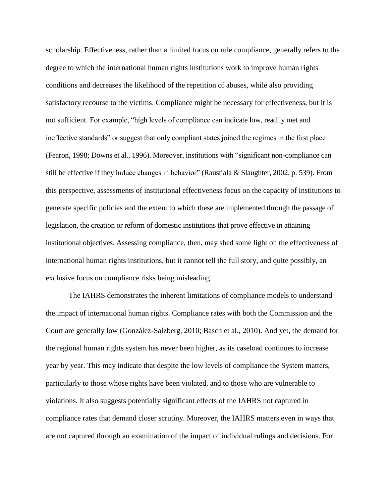scholarship. Effectiveness, rather than a limited focus on rule compliance, generally refers to the degree to which the international human rights institutions work to improve human rights conditions and decreases the likelihood of the repetition of abuses, while also providing satisfactory recourse to the victims. Compliance might be necessary for effectiveness, but it is not sufficient. For example, "high levels of compliance can indicate low, readily met and ineffective standards" or suggest that only compliant states joined the regimes in the first place (Fearon, 1998; Downs et al., 1996). Moreover, institutions with "significant non-compliance can still be effective if they induce changes in behavior" (Raustiala & Slaughter, 2002, p. 539). From this perspective, assessments of institutional effectiveness focus on the capacity of institutions to generate specific policies and the extent to which these are implemented through the passage of legislation, the creation or reform of domestic institutions that prove effective in attaining institutional objectives. Assessing compliance, then, may shed some light on the effectiveness of international human rights institutions, but it cannot tell the full story, and quite possibly, an exclusive focus on compliance risks being misleading.

The IAHRS demonstrates the inherent limitations of compliance models to understand the impact of international human rights. Compliance rates with both the Commission and the Court are generally low (González-Salzberg, 2010; Basch et al., 2010). And yet, the demand for the regional human rights system has never been higher, as its caseload continues to increase year by year. This may indicate that despite the low levels of compliance the System matters, particularly to those whose rights have been violated, and to those who are vulnerable to violations. It also suggests potentially significant effects of the IAHRS not captured in compliance rates that demand closer scrutiny. Moreover, the IAHRS matters even in ways that are not captured through an examination of the impact of individual rulings and decisions. For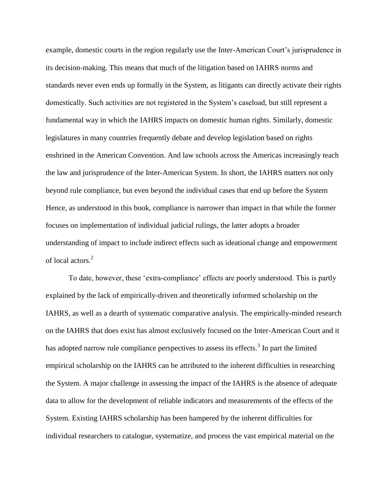example, domestic courts in the region regularly use the Inter-American Court's jurisprudence in its decision-making. This means that much of the litigation based on IAHRS norms and standards never even ends up formally in the System, as litigants can directly activate their rights domestically. Such activities are not registered in the System's caseload, but still represent a fundamental way in which the IAHRS impacts on domestic human rights. Similarly, domestic legislatures in many countries frequently debate and develop legislation based on rights enshrined in the American Convention. And law schools across the Americas increasingly teach the law and jurisprudence of the Inter-American System. In short, the IAHRS matters not only beyond rule compliance, but even beyond the individual cases that end up before the System Hence, as understood in this book, compliance is narrower than impact in that while the former focuses on implementation of individual judicial rulings, the latter adopts a broader understanding of impact to include indirect effects such as ideational change and empowerment of local actors.<sup>2</sup>

To date, however, these 'extra-compliance' effects are poorly understood. This is partly explained by the lack of empirically-driven and theoretically informed scholarship on the IAHRS, as well as a dearth of systematic comparative analysis. The empirically-minded research on the IAHRS that does exist has almost exclusively focused on the Inter-American Court and it has adopted narrow rule compliance perspectives to assess its effects.<sup>3</sup> In part the limited empirical scholarship on the IAHRS can be attributed to the inherent difficulties in researching the System. A major challenge in assessing the impact of the IAHRS is the absence of adequate data to allow for the development of reliable indicators and measurements of the effects of the System. Existing IAHRS scholarship has been hampered by the inherent difficulties for individual researchers to catalogue, systematize, and process the vast empirical material on the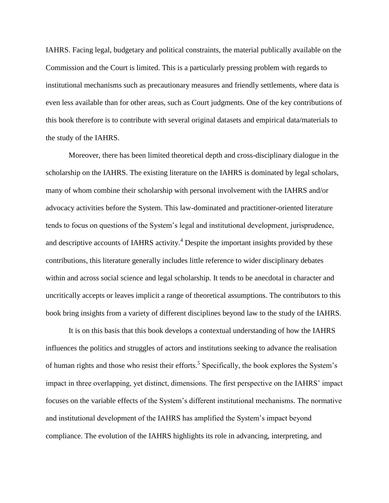IAHRS. Facing legal, budgetary and political constraints, the material publically available on the Commission and the Court is limited. This is a particularly pressing problem with regards to institutional mechanisms such as precautionary measures and friendly settlements, where data is even less available than for other areas, such as Court judgments. One of the key contributions of this book therefore is to contribute with several original datasets and empirical data/materials to the study of the IAHRS.

Moreover, there has been limited theoretical depth and cross-disciplinary dialogue in the scholarship on the IAHRS. The existing literature on the IAHRS is dominated by legal scholars, many of whom combine their scholarship with personal involvement with the IAHRS and/or advocacy activities before the System. This law-dominated and practitioner-oriented literature tends to focus on questions of the System's legal and institutional development, jurisprudence, and descriptive accounts of IAHRS activity.<sup>4</sup> Despite the important insights provided by these contributions, this literature generally includes little reference to wider disciplinary debates within and across social science and legal scholarship. It tends to be anecdotal in character and uncritically accepts or leaves implicit a range of theoretical assumptions. The contributors to this book bring insights from a variety of different disciplines beyond law to the study of the IAHRS.

It is on this basis that this book develops a contextual understanding of how the IAHRS influences the politics and struggles of actors and institutions seeking to advance the realisation of human rights and those who resist their efforts.<sup>5</sup> Specifically, the book explores the System's impact in three overlapping, yet distinct, dimensions. The first perspective on the IAHRS' impact focuses on the variable effects of the System's different institutional mechanisms. The normative and institutional development of the IAHRS has amplified the System's impact beyond compliance. The evolution of the IAHRS highlights its role in advancing, interpreting, and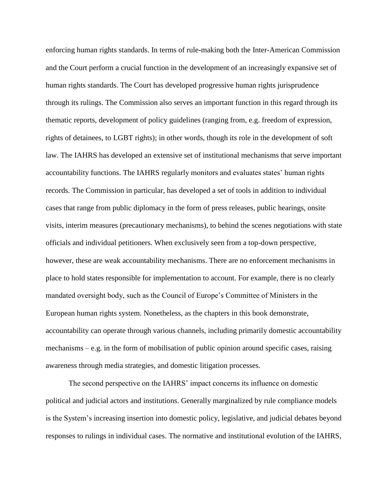enforcing human rights standards. In terms of rule-making both the Inter-American Commission and the Court perform a crucial function in the development of an increasingly expansive set of human rights standards. The Court has developed progressive human rights jurisprudence through its rulings. The Commission also serves an important function in this regard through its thematic reports, development of policy guidelines (ranging from, e.g. freedom of expression, rights of detainees, to LGBT rights); in other words, though its role in the development of soft law. The IAHRS has developed an extensive set of institutional mechanisms that serve important accountability functions. The IAHRS regularly monitors and evaluates states' human rights records. The Commission in particular, has developed a set of tools in addition to individual cases that range from public diplomacy in the form of press releases, public hearings, onsite visits, interim measures (precautionary mechanisms), to behind the scenes negotiations with state officials and individual petitioners. When exclusively seen from a top-down perspective, however, these are weak accountability mechanisms. There are no enforcement mechanisms in place to hold states responsible for implementation to account. For example, there is no clearly mandated oversight body, such as the Council of Europe's Committee of Ministers in the European human rights system. Nonetheless, as the chapters in this book demonstrate, accountability can operate through various channels, including primarily domestic accountability mechanisms – e.g. in the form of mobilisation of public opinion around specific cases, raising awareness through media strategies, and domestic litigation processes.

The second perspective on the IAHRS' impact concerns its influence on domestic political and judicial actors and institutions. Generally marginalized by rule compliance models is the System's increasing insertion into domestic policy, legislative, and judicial debates beyond responses to rulings in individual cases. The normative and institutional evolution of the IAHRS,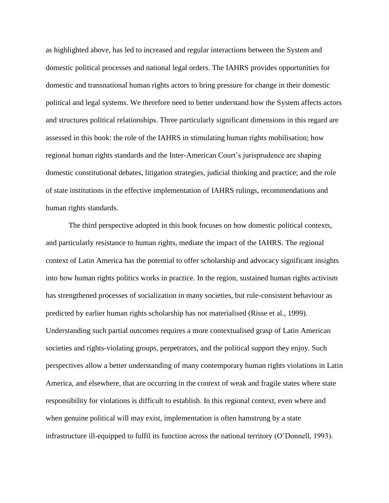as highlighted above, has led to increased and regular interactions between the System and domestic political processes and national legal orders. The IAHRS provides opportunities for domestic and transnational human rights actors to bring pressure for change in their domestic political and legal systems. We therefore need to better understand how the System affects actors and structures political relationships. Three particularly significant dimensions in this regard are assessed in this book: the role of the IAHRS in stimulating human rights mobilisation; how regional human rights standards and the Inter-American Court's jurisprudence are shaping domestic constitutional debates, litigation strategies, judicial thinking and practice; and the role of state institutions in the effective implementation of IAHRS rulings, recommendations and human rights standards.

The third perspective adopted in this book focuses on how domestic political contexts, and particularly resistance to human rights, mediate the impact of the IAHRS. The regional context of Latin America has the potential to offer scholarship and advocacy significant insights into how human rights politics works in practice. In the region, sustained human rights activism has strengthened processes of socialization in many societies, but rule-consistent behaviour as predicted by earlier human rights scholarship has not materialised (Risse et al., 1999). Understanding such partial outcomes requires a more contextualised grasp of Latin American societies and rights-violating groups, perpetrators, and the political support they enjoy. Such perspectives allow a better understanding of many contemporary human rights violations in Latin America, and elsewhere, that are occurring in the context of weak and fragile states where state responsibility for violations is difficult to establish. In this regional context, even where and when genuine political will may exist, implementation is often hamstrung by a state infrastructure ill-equipped to fulfil its function across the national territory (O'Donnell, 1993).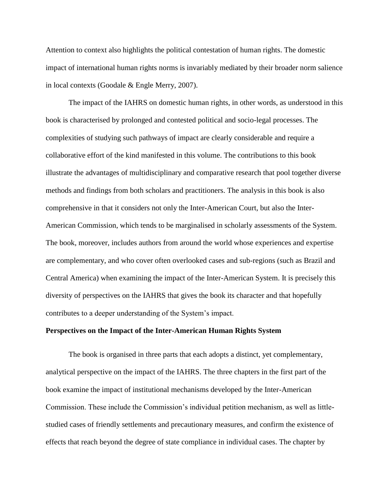Attention to context also highlights the political contestation of human rights. The domestic impact of international human rights norms is invariably mediated by their broader norm salience in local contexts (Goodale & Engle Merry, 2007).

The impact of the IAHRS on domestic human rights, in other words, as understood in this book is characterised by prolonged and contested political and socio-legal processes. The complexities of studying such pathways of impact are clearly considerable and require a collaborative effort of the kind manifested in this volume. The contributions to this book illustrate the advantages of multidisciplinary and comparative research that pool together diverse methods and findings from both scholars and practitioners. The analysis in this book is also comprehensive in that it considers not only the Inter-American Court, but also the Inter-American Commission, which tends to be marginalised in scholarly assessments of the System. The book, moreover, includes authors from around the world whose experiences and expertise are complementary, and who cover often overlooked cases and sub-regions (such as Brazil and Central America) when examining the impact of the Inter-American System. It is precisely this diversity of perspectives on the IAHRS that gives the book its character and that hopefully contributes to a deeper understanding of the System's impact.

# **Perspectives on the Impact of the Inter-American Human Rights System**

The book is organised in three parts that each adopts a distinct, yet complementary, analytical perspective on the impact of the IAHRS. The three chapters in the first part of the book examine the impact of institutional mechanisms developed by the Inter-American Commission. These include the Commission's individual petition mechanism, as well as littlestudied cases of friendly settlements and precautionary measures, and confirm the existence of effects that reach beyond the degree of state compliance in individual cases. The chapter by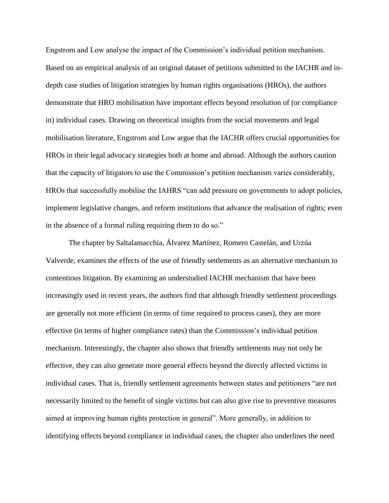Engstrom and Low analyse the impact of the Commission's individual petition mechanism. Based on an empirical analysis of an original dataset of petitions submitted to the IACHR and indepth case studies of litigation strategies by human rights organisations (HROs), the authors demonstrate that HRO mobilisation have important effects beyond resolution of (or compliance in) individual cases. Drawing on theoretical insights from the social movements and legal mobilisation literature, Engstrom and Low argue that the IACHR offers crucial opportunities for HROs in their legal advocacy strategies both at home and abroad. Although the authors caution that the capacity of litigators to use the Commission's petition mechanism varies considerably, HROs that successfully mobilise the IAHRS "can add pressure on governments to adopt policies, implement legislative changes, and reform institutions that advance the realisation of rights; even in the absence of a formal ruling requiring them to do so."

The chapter by Saltalamacchia, Álvarez Martínez, Romero Castelán, and Urzúa Valverde, examines the effects of the use of friendly settlements as an alternative mechanism to contentious litigation. By examining an understudied IACHR mechanism that have been increasingly used in recent years, the authors find that although friendly settlement proceedings are generally not more efficient (in terms of time required to process cases), they are more effective (in terms of higher compliance rates) than the Commission's individual petition mechanism. Interestingly, the chapter also shows that friendly settlements may not only be effective, they can also generate more general effects beyond the directly affected victims in individual cases. That is, friendly settlement agreements between states and petitioners "are not necessarily limited to the benefit of single victims but can also give rise to preventive measures aimed at improving human rights protection in general". More generally, in addition to identifying effects beyond compliance in individual cases, the chapter also underlines the need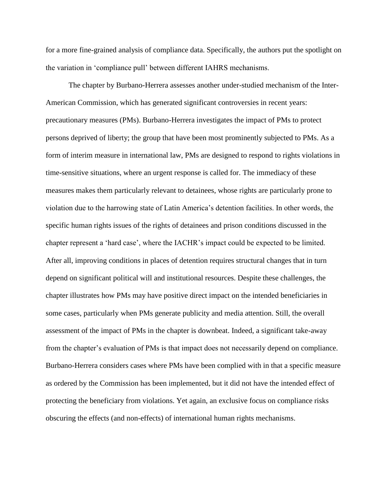for a more fine-grained analysis of compliance data. Specifically, the authors put the spotlight on the variation in 'compliance pull' between different IAHRS mechanisms.

The chapter by Burbano-Herrera assesses another under-studied mechanism of the Inter-American Commission, which has generated significant controversies in recent years: precautionary measures (PMs). Burbano-Herrera investigates the impact of PMs to protect persons deprived of liberty; the group that have been most prominently subjected to PMs. As a form of interim measure in international law, PMs are designed to respond to rights violations in time-sensitive situations, where an urgent response is called for. The immediacy of these measures makes them particularly relevant to detainees, whose rights are particularly prone to violation due to the harrowing state of Latin America's detention facilities. In other words, the specific human rights issues of the rights of detainees and prison conditions discussed in the chapter represent a 'hard case', where the IACHR's impact could be expected to be limited. After all, improving conditions in places of detention requires structural changes that in turn depend on significant political will and institutional resources. Despite these challenges, the chapter illustrates how PMs may have positive direct impact on the intended beneficiaries in some cases, particularly when PMs generate publicity and media attention. Still, the overall assessment of the impact of PMs in the chapter is downbeat. Indeed, a significant take-away from the chapter's evaluation of PMs is that impact does not necessarily depend on compliance. Burbano-Herrera considers cases where PMs have been complied with in that a specific measure as ordered by the Commission has been implemented, but it did not have the intended effect of protecting the beneficiary from violations. Yet again, an exclusive focus on compliance risks obscuring the effects (and non-effects) of international human rights mechanisms.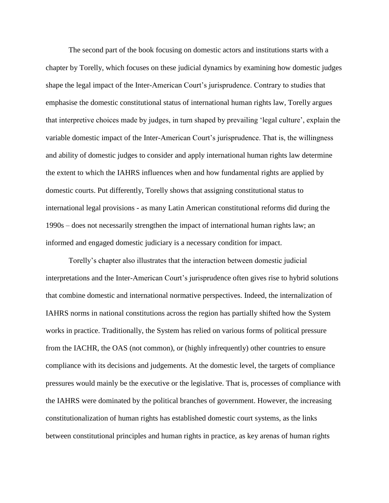The second part of the book focusing on domestic actors and institutions starts with a chapter by Torelly, which focuses on these judicial dynamics by examining how domestic judges shape the legal impact of the Inter-American Court's jurisprudence. Contrary to studies that emphasise the domestic constitutional status of international human rights law, Torelly argues that interpretive choices made by judges, in turn shaped by prevailing 'legal culture', explain the variable domestic impact of the Inter-American Court's jurisprudence. That is, the willingness and ability of domestic judges to consider and apply international human rights law determine the extent to which the IAHRS influences when and how fundamental rights are applied by domestic courts. Put differently, Torelly shows that assigning constitutional status to international legal provisions - as many Latin American constitutional reforms did during the 1990s – does not necessarily strengthen the impact of international human rights law; an informed and engaged domestic judiciary is a necessary condition for impact.

Torelly's chapter also illustrates that the interaction between domestic judicial interpretations and the Inter-American Court's jurisprudence often gives rise to hybrid solutions that combine domestic and international normative perspectives. Indeed, the internalization of IAHRS norms in national constitutions across the region has partially shifted how the System works in practice. Traditionally, the System has relied on various forms of political pressure from the IACHR, the OAS (not common), or (highly infrequently) other countries to ensure compliance with its decisions and judgements. At the domestic level, the targets of compliance pressures would mainly be the executive or the legislative. That is, processes of compliance with the IAHRS were dominated by the political branches of government. However, the increasing constitutionalization of human rights has established domestic court systems, as the links between constitutional principles and human rights in practice, as key arenas of human rights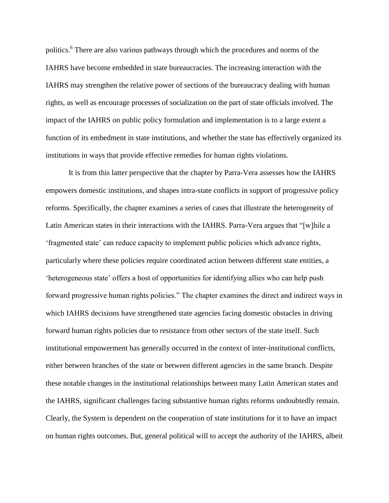politics.<sup>6</sup> There are also various pathways through which the procedures and norms of the IAHRS have become embedded in state bureaucracies. The increasing interaction with the IAHRS may strengthen the relative power of sections of the bureaucracy dealing with human rights, as well as encourage processes of socialization on the part of state officials involved. The impact of the IAHRS on public policy formulation and implementation is to a large extent a function of its embedment in state institutions, and whether the state has effectively organized its institutions in ways that provide effective remedies for human rights violations.

It is from this latter perspective that the chapter by Parra-Vera assesses how the IAHRS empowers domestic institutions, and shapes intra-state conflicts in support of progressive policy reforms. Specifically, the chapter examines a series of cases that illustrate the heterogeneity of Latin American states in their interactions with the IAHRS. Parra-Vera argues that "[w]hile a 'fragmented state' can reduce capacity to implement public policies which advance rights, particularly where these policies require coordinated action between different state entities, a 'heterogeneous state' offers a host of opportunities for identifying allies who can help push forward progressive human rights policies." The chapter examines the direct and indirect ways in which IAHRS decisions have strengthened state agencies facing domestic obstacles in driving forward human rights policies due to resistance from other sectors of the state itself. Such institutional empowerment has generally occurred in the context of inter-institutional conflicts, either between branches of the state or between different agencies in the same branch. Despite these notable changes in the institutional relationships between many Latin American states and the IAHRS, significant challenges facing substantive human rights reforms undoubtedly remain. Clearly, the System is dependent on the cooperation of state institutions for it to have an impact on human rights outcomes. But, general political will to accept the authority of the IAHRS, albeit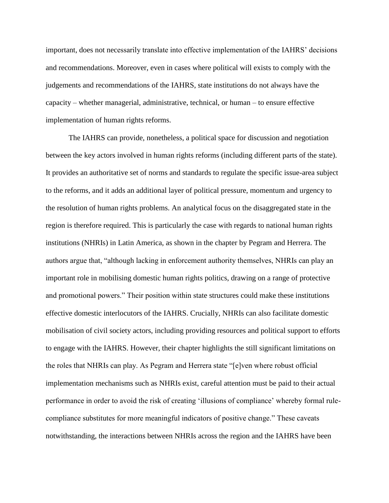important, does not necessarily translate into effective implementation of the IAHRS' decisions and recommendations. Moreover, even in cases where political will exists to comply with the judgements and recommendations of the IAHRS, state institutions do not always have the capacity – whether managerial, administrative, technical, or human – to ensure effective implementation of human rights reforms.

The IAHRS can provide, nonetheless, a political space for discussion and negotiation between the key actors involved in human rights reforms (including different parts of the state). It provides an authoritative set of norms and standards to regulate the specific issue-area subject to the reforms, and it adds an additional layer of political pressure, momentum and urgency to the resolution of human rights problems. An analytical focus on the disaggregated state in the region is therefore required. This is particularly the case with regards to national human rights institutions (NHRIs) in Latin America, as shown in the chapter by Pegram and Herrera. The authors argue that, "although lacking in enforcement authority themselves, NHRIs can play an important role in mobilising domestic human rights politics, drawing on a range of protective and promotional powers." Their position within state structures could make these institutions effective domestic interlocutors of the IAHRS. Crucially, NHRIs can also facilitate domestic mobilisation of civil society actors, including providing resources and political support to efforts to engage with the IAHRS. However, their chapter highlights the still significant limitations on the roles that NHRIs can play. As Pegram and Herrera state "[e]ven where robust official implementation mechanisms such as NHRIs exist, careful attention must be paid to their actual performance in order to avoid the risk of creating 'illusions of compliance' whereby formal rulecompliance substitutes for more meaningful indicators of positive change." These caveats notwithstanding, the interactions between NHRIs across the region and the IAHRS have been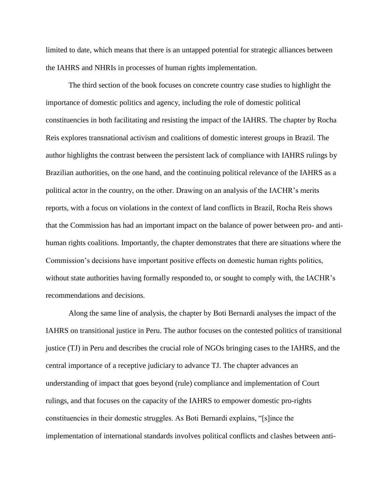limited to date, which means that there is an untapped potential for strategic alliances between the IAHRS and NHRIs in processes of human rights implementation.

The third section of the book focuses on concrete country case studies to highlight the importance of domestic politics and agency, including the role of domestic political constituencies in both facilitating and resisting the impact of the IAHRS. The chapter by Rocha Reis explores transnational activism and coalitions of domestic interest groups in Brazil. The author highlights the contrast between the persistent lack of compliance with IAHRS rulings by Brazilian authorities, on the one hand, and the continuing political relevance of the IAHRS as a political actor in the country, on the other. Drawing on an analysis of the IACHR's merits reports, with a focus on violations in the context of land conflicts in Brazil, Rocha Reis shows that the Commission has had an important impact on the balance of power between pro- and antihuman rights coalitions. Importantly, the chapter demonstrates that there are situations where the Commission's decisions have important positive effects on domestic human rights politics, without state authorities having formally responded to, or sought to comply with, the IACHR's recommendations and decisions.

Along the same line of analysis, the chapter by Boti Bernardi analyses the impact of the IAHRS on transitional justice in Peru. The author focuses on the contested politics of transitional justice (TJ) in Peru and describes the crucial role of NGOs bringing cases to the IAHRS, and the central importance of a receptive judiciary to advance TJ. The chapter advances an understanding of impact that goes beyond (rule) compliance and implementation of Court rulings, and that focuses on the capacity of the IAHRS to empower domestic pro-rights constituencies in their domestic struggles. As Boti Bernardi explains, "[s]ince the implementation of international standards involves political conflicts and clashes between anti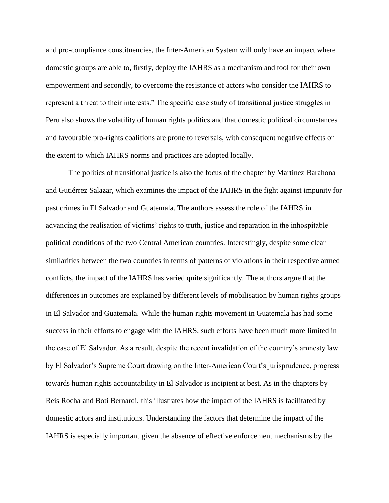and pro-compliance constituencies, the Inter-American System will only have an impact where domestic groups are able to, firstly, deploy the IAHRS as a mechanism and tool for their own empowerment and secondly, to overcome the resistance of actors who consider the IAHRS to represent a threat to their interests." The specific case study of transitional justice struggles in Peru also shows the volatility of human rights politics and that domestic political circumstances and favourable pro-rights coalitions are prone to reversals, with consequent negative effects on the extent to which IAHRS norms and practices are adopted locally.

The politics of transitional justice is also the focus of the chapter by Martínez Barahona and Gutiérrez Salazar, which examines the impact of the IAHRS in the fight against impunity for past crimes in El Salvador and Guatemala. The authors assess the role of the IAHRS in advancing the realisation of victims' rights to truth, justice and reparation in the inhospitable political conditions of the two Central American countries. Interestingly, despite some clear similarities between the two countries in terms of patterns of violations in their respective armed conflicts, the impact of the IAHRS has varied quite significantly. The authors argue that the differences in outcomes are explained by different levels of mobilisation by human rights groups in El Salvador and Guatemala. While the human rights movement in Guatemala has had some success in their efforts to engage with the IAHRS, such efforts have been much more limited in the case of El Salvador. As a result, despite the recent invalidation of the country's amnesty law by El Salvador's Supreme Court drawing on the Inter-American Court's jurisprudence, progress towards human rights accountability in El Salvador is incipient at best. As in the chapters by Reis Rocha and Boti Bernardi, this illustrates how the impact of the IAHRS is facilitated by domestic actors and institutions. Understanding the factors that determine the impact of the IAHRS is especially important given the absence of effective enforcement mechanisms by the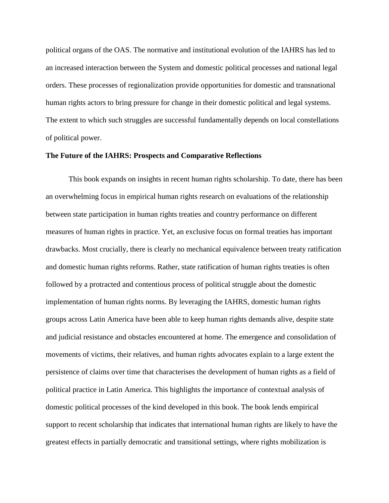political organs of the OAS. The normative and institutional evolution of the IAHRS has led to an increased interaction between the System and domestic political processes and national legal orders. These processes of regionalization provide opportunities for domestic and transnational human rights actors to bring pressure for change in their domestic political and legal systems. The extent to which such struggles are successful fundamentally depends on local constellations of political power.

## **The Future of the IAHRS: Prospects and Comparative Reflections**

This book expands on insights in recent human rights scholarship. To date, there has been an overwhelming focus in empirical human rights research on evaluations of the relationship between state participation in human rights treaties and country performance on different measures of human rights in practice. Yet, an exclusive focus on formal treaties has important drawbacks. Most crucially, there is clearly no mechanical equivalence between treaty ratification and domestic human rights reforms. Rather, state ratification of human rights treaties is often followed by a protracted and contentious process of political struggle about the domestic implementation of human rights norms. By leveraging the IAHRS, domestic human rights groups across Latin America have been able to keep human rights demands alive, despite state and judicial resistance and obstacles encountered at home. The emergence and consolidation of movements of victims, their relatives, and human rights advocates explain to a large extent the persistence of claims over time that characterises the development of human rights as a field of political practice in Latin America. This highlights the importance of contextual analysis of domestic political processes of the kind developed in this book. The book lends empirical support to recent scholarship that indicates that international human rights are likely to have the greatest effects in partially democratic and transitional settings, where rights mobilization is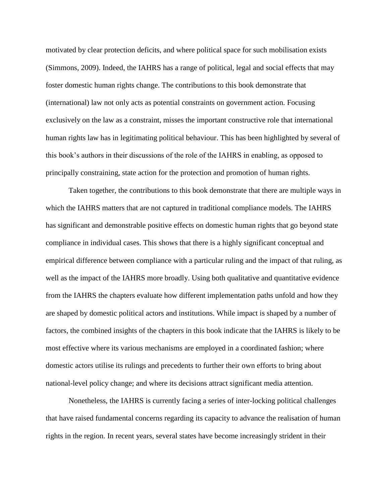motivated by clear protection deficits, and where political space for such mobilisation exists (Simmons, 2009). Indeed, the IAHRS has a range of political, legal and social effects that may foster domestic human rights change. The contributions to this book demonstrate that (international) law not only acts as potential constraints on government action. Focusing exclusively on the law as a constraint, misses the important constructive role that international human rights law has in legitimating political behaviour. This has been highlighted by several of this book's authors in their discussions of the role of the IAHRS in enabling, as opposed to principally constraining, state action for the protection and promotion of human rights.

Taken together, the contributions to this book demonstrate that there are multiple ways in which the IAHRS matters that are not captured in traditional compliance models. The IAHRS has significant and demonstrable positive effects on domestic human rights that go beyond state compliance in individual cases. This shows that there is a highly significant conceptual and empirical difference between compliance with a particular ruling and the impact of that ruling, as well as the impact of the IAHRS more broadly. Using both qualitative and quantitative evidence from the IAHRS the chapters evaluate how different implementation paths unfold and how they are shaped by domestic political actors and institutions. While impact is shaped by a number of factors, the combined insights of the chapters in this book indicate that the IAHRS is likely to be most effective where its various mechanisms are employed in a coordinated fashion; where domestic actors utilise its rulings and precedents to further their own efforts to bring about national-level policy change; and where its decisions attract significant media attention.

Nonetheless, the IAHRS is currently facing a series of inter-locking political challenges that have raised fundamental concerns regarding its capacity to advance the realisation of human rights in the region. In recent years, several states have become increasingly strident in their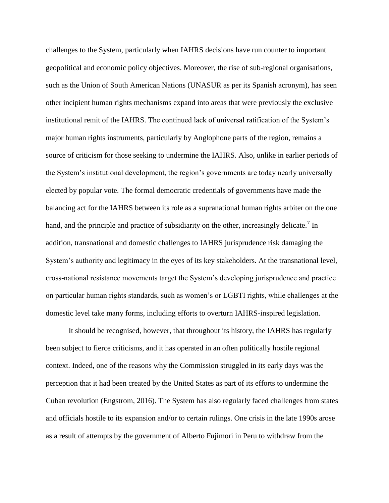challenges to the System, particularly when IAHRS decisions have run counter to important geopolitical and economic policy objectives. Moreover, the rise of sub-regional organisations, such as the Union of South American Nations (UNASUR as per its Spanish acronym), has seen other incipient human rights mechanisms expand into areas that were previously the exclusive institutional remit of the IAHRS. The continued lack of universal ratification of the System's major human rights instruments, particularly by Anglophone parts of the region, remains a source of criticism for those seeking to undermine the IAHRS. Also, unlike in earlier periods of the System's institutional development, the region's governments are today nearly universally elected by popular vote. The formal democratic credentials of governments have made the balancing act for the IAHRS between its role as a supranational human rights arbiter on the one hand, and the principle and practice of subsidiarity on the other, increasingly delicate.<sup>7</sup> In addition, transnational and domestic challenges to IAHRS jurisprudence risk damaging the System's authority and legitimacy in the eyes of its key stakeholders. At the transnational level, cross-national resistance movements target the System's developing jurisprudence and practice on particular human rights standards, such as women's or LGBTI rights, while challenges at the domestic level take many forms, including efforts to overturn IAHRS-inspired legislation.

It should be recognised, however, that throughout its history, the IAHRS has regularly been subject to fierce criticisms, and it has operated in an often politically hostile regional context. Indeed, one of the reasons why the Commission struggled in its early days was the perception that it had been created by the United States as part of its efforts to undermine the Cuban revolution (Engstrom, 2016). The System has also regularly faced challenges from states and officials hostile to its expansion and/or to certain rulings. One crisis in the late 1990s arose as a result of attempts by the government of Alberto Fujimori in Peru to withdraw from the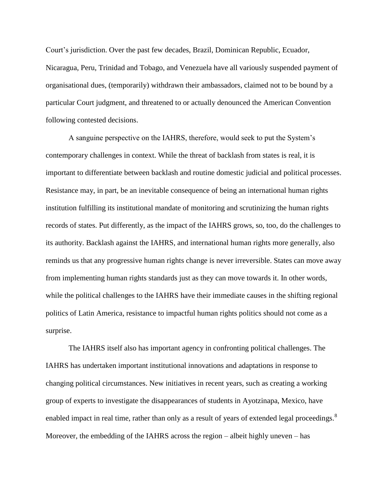Court's jurisdiction. Over the past few decades, Brazil, Dominican Republic, Ecuador, Nicaragua, Peru, Trinidad and Tobago, and Venezuela have all variously suspended payment of organisational dues, (temporarily) withdrawn their ambassadors, claimed not to be bound by a particular Court judgment, and threatened to or actually denounced the American Convention following contested decisions.

A sanguine perspective on the IAHRS, therefore, would seek to put the System's contemporary challenges in context. While the threat of backlash from states is real, it is important to differentiate between backlash and routine domestic judicial and political processes. Resistance may, in part, be an inevitable consequence of being an international human rights institution fulfilling its institutional mandate of monitoring and scrutinizing the human rights records of states. Put differently, as the impact of the IAHRS grows, so, too, do the challenges to its authority. Backlash against the IAHRS, and international human rights more generally, also reminds us that any progressive human rights change is never irreversible. States can move away from implementing human rights standards just as they can move towards it. In other words, while the political challenges to the IAHRS have their immediate causes in the shifting regional politics of Latin America, resistance to impactful human rights politics should not come as a surprise.

The IAHRS itself also has important agency in confronting political challenges. The IAHRS has undertaken important institutional innovations and adaptations in response to changing political circumstances. New initiatives in recent years, such as creating a working group of experts to investigate the disappearances of students in Ayotzinapa, Mexico, have enabled impact in real time, rather than only as a result of years of extended legal proceedings.<sup>8</sup> Moreover, the embedding of the IAHRS across the region – albeit highly uneven – has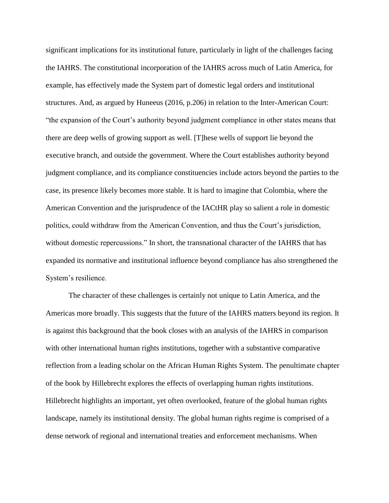significant implications for its institutional future, particularly in light of the challenges facing the IAHRS. The constitutional incorporation of the IAHRS across much of Latin America, for example, has effectively made the System part of domestic legal orders and institutional structures. And, as argued by Huneeus (2016, p.206) in relation to the Inter-American Court: "the expansion of the Court's authority beyond judgment compliance in other states means that there are deep wells of growing support as well. [T]hese wells of support lie beyond the executive branch, and outside the government. Where the Court establishes authority beyond judgment compliance, and its compliance constituencies include actors beyond the parties to the case, its presence likely becomes more stable. It is hard to imagine that Colombia, where the American Convention and the jurisprudence of the IACtHR play so salient a role in domestic politics, could withdraw from the American Convention, and thus the Court's jurisdiction, without domestic repercussions." In short, the transnational character of the IAHRS that has expanded its normative and institutional influence beyond compliance has also strengthened the System's resilience.

The character of these challenges is certainly not unique to Latin America, and the Americas more broadly. This suggests that the future of the IAHRS matters beyond its region. It is against this background that the book closes with an analysis of the IAHRS in comparison with other international human rights institutions, together with a substantive comparative reflection from a leading scholar on the African Human Rights System. The penultimate chapter of the book by Hillebrecht explores the effects of overlapping human rights institutions. Hillebrecht highlights an important, yet often overlooked, feature of the global human rights landscape, namely its institutional density. The global human rights regime is comprised of a dense network of regional and international treaties and enforcement mechanisms. When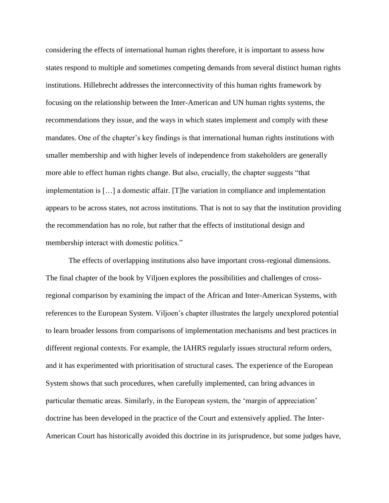considering the effects of international human rights therefore, it is important to assess how states respond to multiple and sometimes competing demands from several distinct human rights institutions. Hillebrecht addresses the interconnectivity of this human rights framework by focusing on the relationship between the Inter-American and UN human rights systems, the recommendations they issue, and the ways in which states implement and comply with these mandates. One of the chapter's key findings is that international human rights institutions with smaller membership and with higher levels of independence from stakeholders are generally more able to effect human rights change. But also, crucially, the chapter suggests "that implementation is […] a domestic affair. [T]he variation in compliance and implementation appears to be across states, not across institutions. That is not to say that the institution providing the recommendation has no role, but rather that the effects of institutional design and membership interact with domestic politics."

The effects of overlapping institutions also have important cross-regional dimensions. The final chapter of the book by Viljoen explores the possibilities and challenges of crossregional comparison by examining the impact of the African and Inter-American Systems, with references to the European System. Viljoen's chapter illustrates the largely unexplored potential to learn broader lessons from comparisons of implementation mechanisms and best practices in different regional contexts. For example, the IAHRS regularly issues structural reform orders, and it has experimented with prioritisation of structural cases. The experience of the European System shows that such procedures, when carefully implemented, can bring advances in particular thematic areas. Similarly, in the European system, the 'margin of appreciation' doctrine has been developed in the practice of the Court and extensively applied. The Inter-American Court has historically avoided this doctrine in its jurisprudence, but some judges have,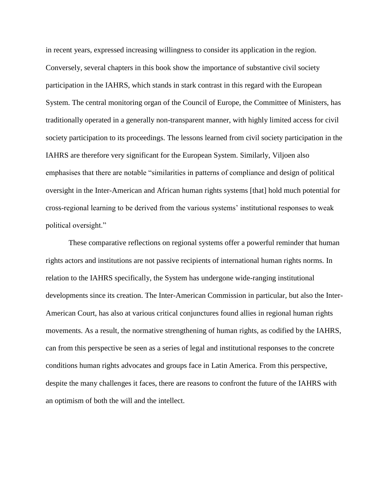in recent years, expressed increasing willingness to consider its application in the region. Conversely, several chapters in this book show the importance of substantive civil society participation in the IAHRS, which stands in stark contrast in this regard with the European System. The central monitoring organ of the Council of Europe, the Committee of Ministers, has traditionally operated in a generally non-transparent manner, with highly limited access for civil society participation to its proceedings. The lessons learned from civil society participation in the IAHRS are therefore very significant for the European System. Similarly, Viljoen also emphasises that there are notable "similarities in patterns of compliance and design of political oversight in the Inter-American and African human rights systems [that] hold much potential for cross-regional learning to be derived from the various systems' institutional responses to weak political oversight."

These comparative reflections on regional systems offer a powerful reminder that human rights actors and institutions are not passive recipients of international human rights norms. In relation to the IAHRS specifically, the System has undergone wide-ranging institutional developments since its creation. The Inter-American Commission in particular, but also the Inter-American Court, has also at various critical conjunctures found allies in regional human rights movements. As a result, the normative strengthening of human rights, as codified by the IAHRS, can from this perspective be seen as a series of legal and institutional responses to the concrete conditions human rights advocates and groups face in Latin America. From this perspective, despite the many challenges it faces, there are reasons to confront the future of the IAHRS with an optimism of both the will and the intellect.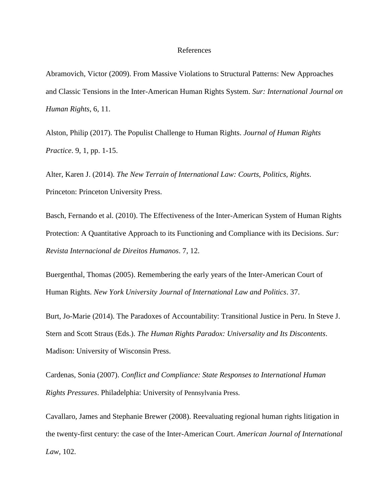## References

Abramovich, Victor (2009). From Massive Violations to Structural Patterns: New Approaches and Classic Tensions in the Inter-American Human Rights System. *Sur: International Journal on Human Rights*, 6, 11.

Alston, Philip (2017). The Populist Challenge to Human Rights. *Journal of Human Rights Practice*. 9, 1, pp. 1-15.

Alter, Karen J. (2014). *The New Terrain of International Law: Courts, Politics, Rights*. Princeton: Princeton University Press.

Basch, Fernando et al. (2010). The Effectiveness of the Inter-American System of Human Rights Protection: A Quantitative Approach to its Functioning and Compliance with its Decisions. *Sur: Revista Internacional de Direitos Humanos*. 7, 12.

Buergenthal, Thomas (2005). Remembering the early years of the Inter-American Court of Human Rights. *New York University Journal of International Law and Politics*. 37.

Burt, Jo-Marie (2014). The Paradoxes of Accountability: Transitional Justice in Peru. In Steve J. Stern and Scott Straus (Eds.). *The Human Rights Paradox: Universality and Its Discontents*. Madison: University of Wisconsin Press.

Cardenas, Sonia (2007). *Conflict and Compliance: State Responses to International Human Rights Pressures*. Philadelphia: University of Pennsylvania Press.

Cavallaro, James and Stephanie Brewer (2008). Reevaluating regional human rights litigation in the twenty-first century: the case of the Inter-American Court. *American Journal of International Law,* 102.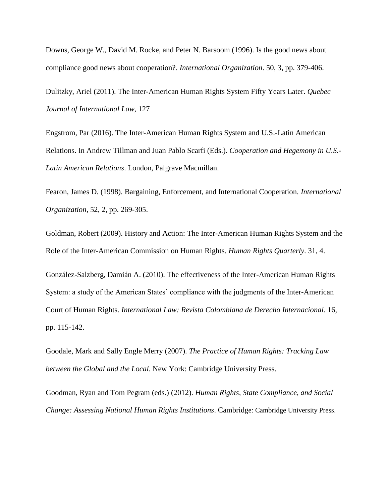Downs, George W., David M. Rocke, and Peter N. Barsoom (1996). Is the good news about compliance good news about cooperation?. *International Organization*. 50, 3, pp. 379-406.

Dulitzky, Ariel (2011). The Inter-American Human Rights System Fifty Years Later. *Quebec Journal of International Law*, 127

Engstrom, Par (2016). The Inter-American Human Rights System and U.S.-Latin American Relations. In Andrew Tillman and Juan Pablo Scarfi (Eds.). *Cooperation and Hegemony in U.S.- Latin American Relations*. London, Palgrave Macmillan.

Fearon, James D. (1998). Bargaining, Enforcement, and International Cooperation. *International Organization*, 52, 2, pp. 269-305.

Goldman, Robert (2009). History and Action: The Inter-American Human Rights System and the Role of the Inter-American Commission on Human Rights. *Human Rights Quarterly*. 31, 4.

González-Salzberg, Damián A. (2010). The effectiveness of the Inter-American Human Rights System: a study of the American States' compliance with the judgments of the Inter-American Court of Human Rights. *International Law: Revista Colombiana de Derecho Internacional*. 16, pp. 115-142.

Goodale, Mark and Sally Engle Merry (2007). *The Practice of Human Rights: Tracking Law between the Global and the Local*. New York: Cambridge University Press.

Goodman, Ryan and Tom Pegram (eds.) (2012). *Human Rights, State Compliance, and Social Change: Assessing National Human Rights Institutions*. Cambridge: Cambridge University Press.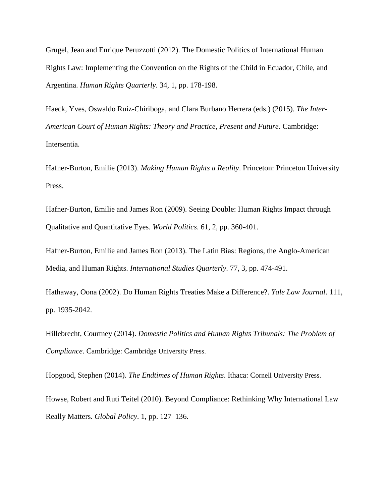Grugel, Jean and Enrique Peruzzotti (2012). The Domestic Politics of International Human Rights Law: Implementing the Convention on the Rights of the Child in Ecuador, Chile, and Argentina. *Human Rights Quarterly*. 34, 1, pp. 178-198.

Haeck, Yves, Oswaldo Ruiz-Chiriboga, and Clara Burbano Herrera (eds.) (2015). *The Inter-American Court of Human Rights: Theory and Practice, Present and Future*. Cambridge: Intersentia.

Hafner-Burton, Emilie (2013). *Making Human Rights a Reality*. Princeton: Princeton University Press.

Hafner-Burton, Emilie and James Ron (2009). Seeing Double: Human Rights Impact through Qualitative and Quantitative Eyes. *World Politics*. 61, 2, pp. 360-401.

Hafner-Burton, Emilie and James Ron (2013). The Latin Bias: Regions, the Anglo-American Media, and Human Rights. *International Studies Quarterly*. 77, 3, pp. 474-491.

Hathaway, Oona (2002). Do Human Rights Treaties Make a Difference?. *Yale Law Journal*. 111, pp. 1935-2042.

Hillebrecht, Courtney (2014). *Domestic Politics and Human Rights Tribunals: The Problem of Compliance*. Cambridge: Cambridge University Press.

Hopgood, Stephen (2014). *The Endtimes of Human Rights*. Ithaca: Cornell University Press.

Howse, Robert and Ruti Teitel (2010). Beyond Compliance: Rethinking Why International Law Really Matters. *Global Policy*. 1, pp. 127–136.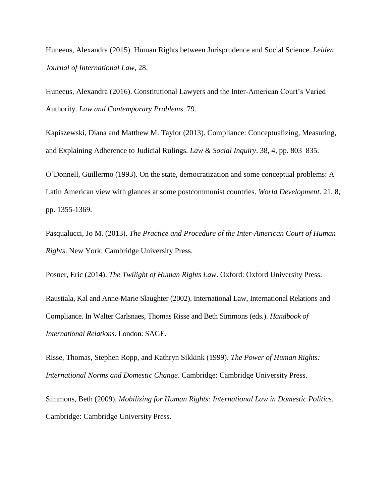Huneeus, Alexandra (2015). Human Rights between Jurisprudence and Social Science. *Leiden Journal of International Law*, 28.

Huneeus, Alexandra (2016). Constitutional Lawyers and the Inter-American Court's Varied Authority. *Law and Contemporary Problems*. 79.

Kapiszewski, Diana and Matthew M. Taylor (2013). Compliance: Conceptualizing, Measuring, and Explaining Adherence to Judicial Rulings. *Law & Social Inquiry*. 38, 4, pp. 803–835.

O'Donnell, Guillermo (1993). On the state, democratization and some conceptual problems: A Latin American view with glances at some postcommunist countries. *World Development*. 21, 8, pp. 1355-1369.

Pasqualucci, Jo M. (2013). *The Practice and Procedure of the Inter-American Court of Human Rights*. New York: Cambridge University Press.

Posner, Eric (2014). *The Twilight of Human Rights Law*. Oxford: Oxford University Press.

Raustiala, Kal and Anne-Marie Slaughter (2002). International Law, International Relations and Compliance. In Walter Carlsnaes, Thomas Risse and Beth Simmons (eds.). *Handbook of International Relations*. London: SAGE.

Risse, Thomas, Stephen Ropp, and Kathryn Sikkink (1999). *The Power of Human Rights: International Norms and Domestic Change*. Cambridge: Cambridge University Press.

Simmons, Beth (2009). *Mobilizing for Human Rights: International Law in Domestic Politics*. Cambridge: Cambridge University Press.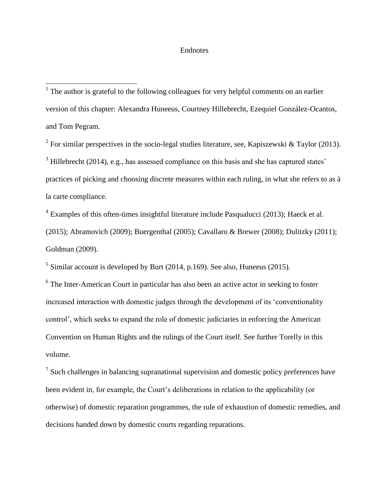## Endnotes

<sup>1</sup> The author is grateful to the following colleagues for very helpful comments on an earlier version of this chapter: Alexandra Huneeus, Courtney Hillebrecht, Ezequiel González-Ocantos, and Tom Pegram.

<sup>2</sup> For similar perspectives in the socio-legal studies literature, see, Kapiszewski & Taylor (2013).  $3$  Hillebrecht (2014), e.g., has assessed compliance on this basis and she has captured states' practices of picking and choosing discrete measures within each ruling, in what she refers to as à la carte compliance.

 $4$  Examples of this often-times insightful literature include Pasqualucci (2013); Haeck et al. (2015); Abramovich (2009); Buergenthal (2005); Cavallaro & Brewer (2008); Dulitzky (2011); Goldman (2009).

<sup>5</sup> Similar account is developed by Burt (2014, p.169). See also, Huneeus (2015).

<sup>6</sup> The Inter-American Court in particular has also been an active actor in seeking to foster increased interaction with domestic judges through the development of its 'conventionality control', which seeks to expand the role of domestic judiciaries in enforcing the American Convention on Human Rights and the rulings of the Court itself. See further Torelly in this volume.

 $<sup>7</sup>$  Such challenges in balancing supranational supervision and domestic policy preferences have</sup> been evident in, for example, the Court's deliberations in relation to the applicability (or otherwise) of domestic reparation programmes, the rule of exhaustion of domestic remedies, and decisions handed down by domestic courts regarding reparations.